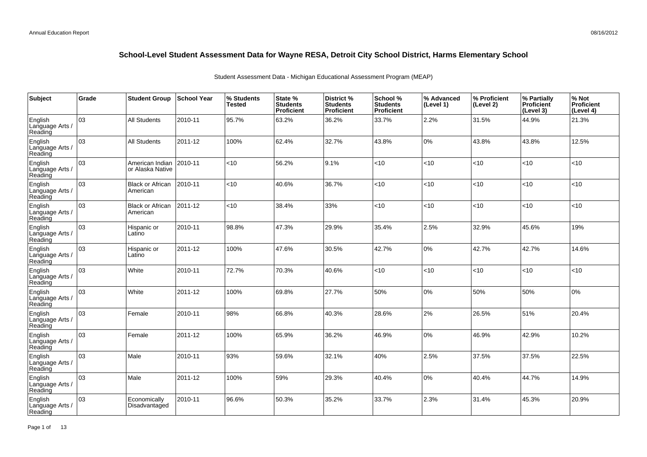| Subject                               | Grade | <b>Student Group</b>                | School Year | % Students<br>Tested | State %<br><b>Students</b><br>Proficient | District %<br><b>Students</b><br>Proficient | School %<br><b>Students</b><br><b>Proficient</b> | % Advanced<br>(Level 1) | % Proficient<br>(Level 2) | % Partially<br>Proficient<br>(Level 3) | % Not<br>Proficient<br>(Level 4) |
|---------------------------------------|-------|-------------------------------------|-------------|----------------------|------------------------------------------|---------------------------------------------|--------------------------------------------------|-------------------------|---------------------------|----------------------------------------|----------------------------------|
| English<br>Language Arts /<br>Reading | 03    | <b>All Students</b>                 | 2010-11     | 95.7%                | 63.2%                                    | 36.2%                                       | 33.7%                                            | 2.2%                    | 31.5%                     | 44.9%                                  | 21.3%                            |
| English<br>Language Arts /<br>Reading | 03    | <b>All Students</b>                 | 2011-12     | 100%                 | 62.4%                                    | 32.7%                                       | 43.8%                                            | 0%                      | 43.8%                     | 43.8%                                  | 12.5%                            |
| English<br>Language Arts /<br>Reading | 03    | American Indian<br>or Alaska Native | 2010-11     | <10                  | 56.2%                                    | 9.1%                                        | $<$ 10                                           | < 10                    | < 10                      | < 10                                   | < 10                             |
| English<br>Language Arts /<br>Reading | 03    | <b>Black or African</b><br>American | 2010-11     | <10                  | 40.6%                                    | 36.7%                                       | < 10                                             | <10                     | <10                       | <10                                    | <10                              |
| English<br>Language Arts /<br>Reading | 03    | <b>Black or African</b><br>American | 2011-12     | <10                  | 38.4%                                    | 33%                                         | $<$ 10                                           | < 10                    | $<$ 10                    | <10                                    | < 10                             |
| English<br>Language Arts /<br>Reading | 03    | Hispanic or<br>Latino               | 2010-11     | 98.8%                | 47.3%                                    | 29.9%                                       | 35.4%                                            | 2.5%                    | 32.9%                     | 45.6%                                  | 19%                              |
| English<br>Language Arts /<br>Reading | 03    | Hispanic or<br>Latino               | 2011-12     | 100%                 | 47.6%                                    | 30.5%                                       | 42.7%                                            | $0\%$                   | 42.7%                     | 42.7%                                  | 14.6%                            |
| English<br>Language Arts<br>Reading   | 03    | White                               | 2010-11     | 72.7%                | 70.3%                                    | 40.6%                                       | < 10                                             | < 10                    | <10                       | <10                                    | <10                              |
| English<br>Language Arts<br>Reading   | 03    | White                               | 2011-12     | 100%                 | 69.8%                                    | 27.7%                                       | 50%                                              | 0%                      | 50%                       | 50%                                    | 0%                               |
| English<br>Language Arts<br>Reading   | 03    | Female                              | 2010-11     | 98%                  | 66.8%                                    | 40.3%                                       | 28.6%                                            | 2%                      | 26.5%                     | 51%                                    | 20.4%                            |
| English<br>Language Arts<br>Reading   | 03    | Female                              | 2011-12     | 100%                 | 65.9%                                    | 36.2%                                       | 46.9%                                            | 0%                      | 46.9%                     | 42.9%                                  | 10.2%                            |
| English<br>Language Arts<br>Reading   | 03    | Male                                | 2010-11     | 93%                  | 59.6%                                    | 32.1%                                       | 40%                                              | 2.5%                    | 37.5%                     | 37.5%                                  | 22.5%                            |
| English<br>Language Arts /<br>Reading | 03    | Male                                | 2011-12     | 100%                 | 59%                                      | 29.3%                                       | 40.4%                                            | $0\%$                   | 40.4%                     | 44.7%                                  | 14.9%                            |
| English<br>Language Arts<br>Reading   | 03    | Economically<br>Disadvantaged       | 2010-11     | 96.6%                | 50.3%                                    | 35.2%                                       | 33.7%                                            | 2.3%                    | 31.4%                     | 45.3%                                  | 20.9%                            |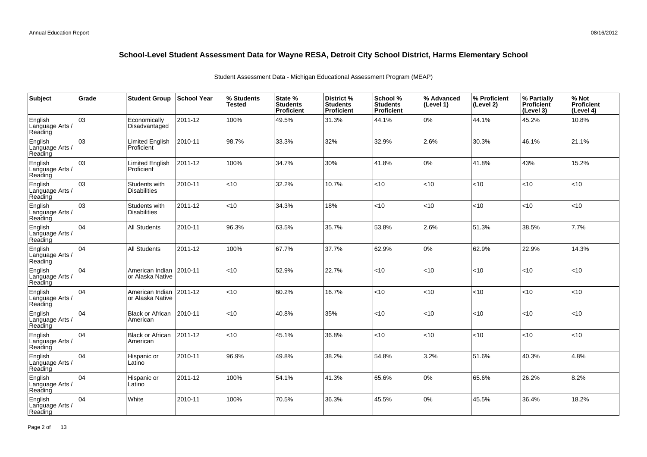| Subject                               | Grade | <b>Student Group</b>                 | <b>School Year</b> | % Students<br><b>Tested</b> | State %<br><b>Students</b><br>Proficient | <b>District %</b><br><b>Students</b><br>Proficient | School %<br><b>Students</b><br><b>Proficient</b> | % Advanced<br>(Level 1) | % Proficient<br>(Level 2) | % Partially<br><b>Proficient</b><br>(Level 3) | % Not<br>Proficient<br>(Level 4) |
|---------------------------------------|-------|--------------------------------------|--------------------|-----------------------------|------------------------------------------|----------------------------------------------------|--------------------------------------------------|-------------------------|---------------------------|-----------------------------------------------|----------------------------------|
| English<br>Language Arts /<br>Reading | оз    | Economically<br>Disadvantaged        | 2011-12            | 100%                        | 49.5%                                    | 31.3%                                              | 44.1%                                            | $0\%$                   | 44.1%                     | 45.2%                                         | 10.8%                            |
| English<br>Language Arts /<br>Reading | lоз   | <b>Limited English</b><br>Proficient | 2010-11            | 98.7%                       | 33.3%                                    | 32%                                                | 32.9%                                            | 2.6%                    | 30.3%                     | 46.1%                                         | 21.1%                            |
| English<br>Language Arts /<br>Reading | 03    | Limited English<br>Proficient        | 2011-12            | 100%                        | 34.7%                                    | 30%                                                | 41.8%                                            | $0\%$                   | 41.8%                     | 43%                                           | 15.2%                            |
| English<br>Language Arts /<br>Reading | оз    | Students with<br><b>Disabilities</b> | 2010-11            | <10                         | 32.2%                                    | 10.7%                                              | <10                                              | <10                     | < 10                      | <10                                           | <10                              |
| English<br>Language Arts /<br>Reading | 03    | Students with<br><b>Disabilities</b> | 2011-12            | $<$ 10                      | 34.3%                                    | 18%                                                | < 10                                             | < 10                    | $<$ 10                    | <10                                           | <10                              |
| English<br>Language Arts /<br>Reading | 104   | <b>All Students</b>                  | 2010-11            | 96.3%                       | 63.5%                                    | 35.7%                                              | 53.8%                                            | 2.6%                    | 51.3%                     | 38.5%                                         | 7.7%                             |
| English<br>Language Arts /<br>Reading | 104   | <b>All Students</b>                  | 2011-12            | 100%                        | 67.7%                                    | 37.7%                                              | 62.9%                                            | $0\%$                   | 62.9%                     | 22.9%                                         | 14.3%                            |
| English<br>Language Arts /<br>Reading | 104   | American Indian<br>or Alaska Native  | 2010-11            | <10                         | 52.9%                                    | 22.7%                                              | <10                                              | < 10                    | <10                       | <10                                           | <10                              |
| English<br>Language Arts /<br>Reading | 104   | American Indian<br>or Alaska Native  | 2011-12            | <10                         | 60.2%                                    | 16.7%                                              | < 10                                             | < 10                    | < 10                      | <10                                           | <10                              |
| English<br>Language Arts /<br>Reading | 04    | <b>Black or African</b><br>American  | 2010-11            | < 10                        | 40.8%                                    | 35%                                                | <10                                              | <10                     | <10                       | <10                                           | <10                              |
| English<br>Language Arts /<br>Reading | 104   | <b>Black or African</b><br>American  | 2011-12            | < 10                        | 45.1%                                    | 36.8%                                              | <10                                              | <10                     | <10                       | <10                                           | <10                              |
| English<br>Language Arts /<br>Reading | 04    | Hispanic or<br>Latino                | 2010-11            | 96.9%                       | 49.8%                                    | 38.2%                                              | 54.8%                                            | 3.2%                    | 51.6%                     | 40.3%                                         | 4.8%                             |
| English<br>Language Arts /<br>Reading | 104   | Hispanic or<br>Latino                | 2011-12            | 100%                        | 54.1%                                    | 41.3%                                              | 65.6%                                            | $0\%$                   | 65.6%                     | 26.2%                                         | 8.2%                             |
| English<br>Language Arts<br>Reading   | 04    | White                                | 2010-11            | 100%                        | 70.5%                                    | 36.3%                                              | 45.5%                                            | $0\%$                   | 45.5%                     | 36.4%                                         | 18.2%                            |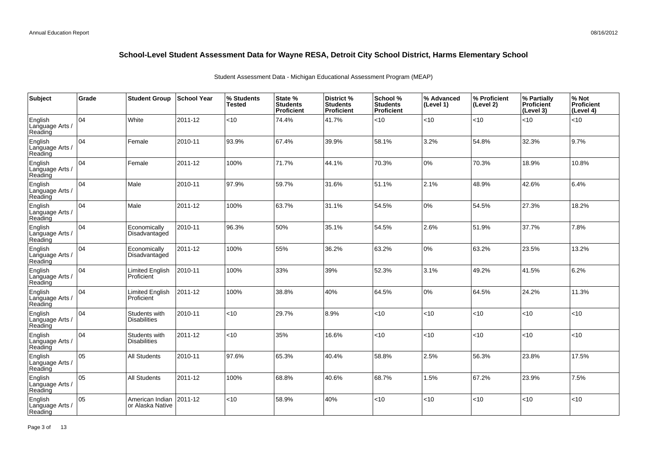| Subject                               | Grade | <b>Student Group</b>                 | School Year | % Students<br><b>Tested</b> | State %<br><b>Students</b><br>Proficient | District %<br><b>Students</b><br>Proficient | School %<br><b>Students</b><br><b>Proficient</b> | % Advanced<br>(Level 1) | % Proficient<br>(Level 2) | % Partially<br>Proficient<br>(Level 3) | % Not<br>Proficient<br>(Level 4) |
|---------------------------------------|-------|--------------------------------------|-------------|-----------------------------|------------------------------------------|---------------------------------------------|--------------------------------------------------|-------------------------|---------------------------|----------------------------------------|----------------------------------|
| English<br>Language Arts /<br>Reading | 04    | White                                | 2011-12     | <10                         | 74.4%                                    | 41.7%                                       | < 10                                             | <10                     | <10                       | < 10                                   | <10                              |
| English<br>Language Arts /<br>Reading | 04    | Female                               | 2010-11     | 93.9%                       | 67.4%                                    | 39.9%                                       | 58.1%                                            | 3.2%                    | 54.8%                     | 32.3%                                  | 9.7%                             |
| English<br>Language Arts /<br>Reading | 04    | Female                               | 2011-12     | 100%                        | 71.7%                                    | 44.1%                                       | 70.3%                                            | $0\%$                   | 70.3%                     | 18.9%                                  | 10.8%                            |
| English<br>Language Arts /<br>Reading | 04    | Male                                 | 2010-11     | 97.9%                       | 59.7%                                    | 31.6%                                       | 51.1%                                            | 2.1%                    | 48.9%                     | 42.6%                                  | 6.4%                             |
| English<br>Language Arts /<br>Reading | 04    | Male                                 | 2011-12     | 100%                        | 63.7%                                    | 31.1%                                       | 54.5%                                            | 0%                      | 54.5%                     | 27.3%                                  | 18.2%                            |
| English<br>Language Arts /<br>Reading | 04    | Economically<br>Disadvantaged        | 2010-11     | 96.3%                       | 50%                                      | 35.1%                                       | 54.5%                                            | 2.6%                    | 51.9%                     | 37.7%                                  | 7.8%                             |
| English<br>Language Arts /<br>Reading | 04    | Economically<br>Disadvantaged        | 2011-12     | 100%                        | 55%                                      | 36.2%                                       | 63.2%                                            | 0%                      | 63.2%                     | 23.5%                                  | 13.2%                            |
| English<br>Language Arts<br>Reading   | 04    | <b>Limited English</b><br>Proficient | 2010-11     | 100%                        | 33%                                      | 39%                                         | 52.3%                                            | 3.1%                    | 49.2%                     | 41.5%                                  | 6.2%                             |
| English<br>Language Arts<br>Reading   | 04    | <b>Limited English</b><br>Proficient | 2011-12     | 100%                        | 38.8%                                    | 40%                                         | 64.5%                                            | 0%                      | 64.5%                     | 24.2%                                  | 11.3%                            |
| English<br>Language Arts<br>Reading   | 04    | Students with<br><b>Disabilities</b> | 2010-11     | <10                         | 29.7%                                    | 8.9%                                        | <10                                              | <10                     | <10                       | < 10                                   | <10                              |
| English<br>Language Arts<br>Reading   | 04    | Students with<br><b>Disabilities</b> | 2011-12     | < 10                        | 35%                                      | 16.6%                                       | <10                                              | <10                     | <10                       | < 10                                   | <10                              |
| English<br>Language Arts<br>Reading   | 05    | <b>All Students</b>                  | 2010-11     | 97.6%                       | 65.3%                                    | 40.4%                                       | 58.8%                                            | 2.5%                    | 56.3%                     | 23.8%                                  | 17.5%                            |
| English<br>Language Arts<br>Reading   | 05    | <b>All Students</b>                  | 2011-12     | 100%                        | 68.8%                                    | 40.6%                                       | 68.7%                                            | 1.5%                    | 67.2%                     | 23.9%                                  | 7.5%                             |
| English<br>Language Arts<br>Reading   | 05    | American Indian<br>or Alaska Native  | 2011-12     | $<$ 10                      | 58.9%                                    | 40%                                         | < 10                                             | <10                     | < 10                      | < 10                                   | <10                              |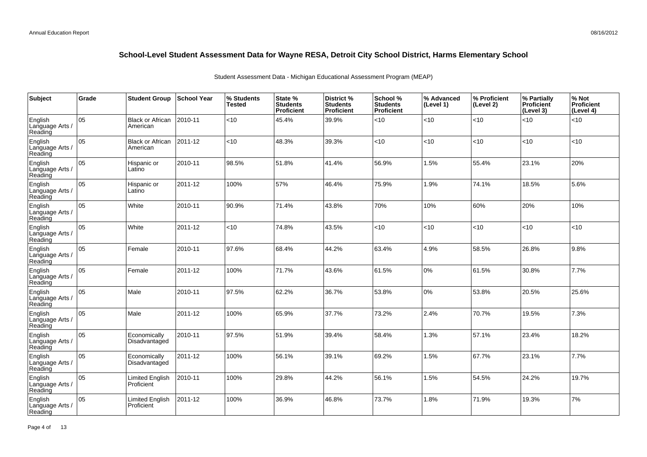| Subject                               | Grade | <b>Student Group</b>                | <b>School Year</b> | % Students<br><b>Tested</b> | State %<br><b>Students</b><br>Proficient | District %<br><b>Students</b><br>Proficient | School %<br><b>Students</b><br><b>Proficient</b> | % Advanced<br>(Level 1) | % Proficient<br>(Level 2) | % Partially<br><b>Proficient</b><br>(Level 3) | % Not<br>Proficient<br>(Level 4) |
|---------------------------------------|-------|-------------------------------------|--------------------|-----------------------------|------------------------------------------|---------------------------------------------|--------------------------------------------------|-------------------------|---------------------------|-----------------------------------------------|----------------------------------|
| English<br>Language Arts /<br>Reading | 05    | <b>Black or African</b><br>American | 2010-11            | < 10                        | 45.4%                                    | 39.9%                                       | $<$ 10                                           | < 10                    | <10                       | <10                                           | < 10                             |
| English<br>Language Arts /<br>Reading | lo5   | <b>Black or African</b><br>American | 2011-12            | $<$ 10                      | 48.3%                                    | 39.3%                                       | $<$ 10                                           | < 10                    | <10                       | <10                                           | <10                              |
| English<br>Language Arts /<br>Reading | 05    | Hispanic or<br>Latino               | 2010-11            | 98.5%                       | 51.8%                                    | 41.4%                                       | 56.9%                                            | 1.5%                    | 55.4%                     | 23.1%                                         | 20%                              |
| English<br>Language Arts /<br>Reading | 05    | Hispanic or<br>Latino               | 2011-12            | 100%                        | 57%                                      | 46.4%                                       | 75.9%                                            | 1.9%                    | 74.1%                     | 18.5%                                         | 5.6%                             |
| English<br>Language Arts /<br>Reading | 05    | White                               | 2010-11            | 90.9%                       | 71.4%                                    | 43.8%                                       | 70%                                              | 10%                     | 60%                       | 20%                                           | 10%                              |
| English<br>Language Arts /<br>Reading | 05    | White                               | 2011-12            | $<$ 10                      | 74.8%                                    | 43.5%                                       | < 10                                             | <10                     | <10                       | <10                                           | <10                              |
| English<br>Language Arts /<br>Reading | 05    | Female                              | 2010-11            | 97.6%                       | 68.4%                                    | 44.2%                                       | 63.4%                                            | 4.9%                    | 58.5%                     | 26.8%                                         | 9.8%                             |
| English<br>Language Arts<br>Reading   | 05    | Female                              | 2011-12            | 100%                        | 71.7%                                    | 43.6%                                       | 61.5%                                            | 0%                      | 61.5%                     | 30.8%                                         | 7.7%                             |
| English<br>Language Arts /<br>Reading | 05    | Male                                | 2010-11            | 97.5%                       | 62.2%                                    | 36.7%                                       | 53.8%                                            | 0%                      | 53.8%                     | 20.5%                                         | 25.6%                            |
| English<br>Language Arts /<br>Reading | 05    | Male                                | 2011-12            | 100%                        | 65.9%                                    | 37.7%                                       | 73.2%                                            | 2.4%                    | 70.7%                     | 19.5%                                         | 7.3%                             |
| English<br>Language Arts /<br>Reading | 05    | Economically<br>Disadvantaged       | 2010-11            | 97.5%                       | 51.9%                                    | 39.4%                                       | 58.4%                                            | 1.3%                    | 57.1%                     | 23.4%                                         | 18.2%                            |
| English<br>Language Arts /<br>Reading | 05    | Economically<br>Disadvantaged       | 2011-12            | 100%                        | 56.1%                                    | 39.1%                                       | 69.2%                                            | 1.5%                    | 67.7%                     | 23.1%                                         | 7.7%                             |
| English<br>Language Arts /<br>Reading | 05    | Limited English<br>Proficient       | 2010-11            | 100%                        | 29.8%                                    | 44.2%                                       | 56.1%                                            | 1.5%                    | 54.5%                     | 24.2%                                         | 19.7%                            |
| English<br>Language Arts<br>Reading   | 05    | Limited English<br>Proficient       | 2011-12            | 100%                        | 36.9%                                    | 46.8%                                       | 73.7%                                            | 1.8%                    | 71.9%                     | 19.3%                                         | 7%                               |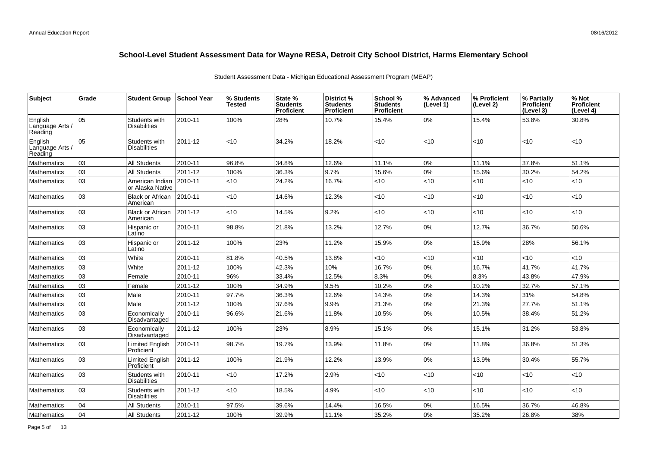| <b>Subject</b>                        | Grade | <b>Student Group</b>                 | <b>School Year</b> | % Students<br>Tested | State %<br><b>Students</b><br><b>Proficient</b> | District %<br><b>Students</b><br>Proficient | School %<br><b>Students</b><br><b>Proficient</b> | % Advanced<br>(Level 1) | % Proficient<br>(Level 2) | % Partially<br>Proficient<br>(Level 3) | % Not<br><b>Proficient</b><br>(Level 4) |
|---------------------------------------|-------|--------------------------------------|--------------------|----------------------|-------------------------------------------------|---------------------------------------------|--------------------------------------------------|-------------------------|---------------------------|----------------------------------------|-----------------------------------------|
| English<br>Language Arts /<br>Reading | 05    | Students with<br>Disabilities        | 2010-11            | 100%                 | 28%                                             | 10.7%                                       | 15.4%                                            | $0\%$                   | 15.4%                     | 53.8%                                  | 30.8%                                   |
| English<br>Language Arts /<br>Reading | 05    | Students with<br><b>Disabilities</b> | 2011-12            | <10                  | 34.2%                                           | 18.2%                                       | < 10                                             | <10                     | <10                       | <10                                    | <10                                     |
| Mathematics                           | lоз   | All Students                         | 2010-11            | 96.8%                | 34.8%                                           | 12.6%                                       | 11.1%                                            | $0\%$                   | 11.1%                     | 37.8%                                  | 51.1%                                   |
| Mathematics                           | 03    | All Students                         | 2011-12            | 100%                 | 36.3%                                           | 9.7%                                        | 15.6%                                            | $0\%$                   | 15.6%                     | 30.2%                                  | 54.2%                                   |
| <b>Mathematics</b>                    | 03    | American Indian<br>or Alaska Native  | 2010-11            | <10                  | 24.2%                                           | 16.7%                                       | $<$ 10                                           | < 10                    | $<$ 10                    | < 10                                   | <10                                     |
| Mathematics                           | 03    | <b>Black or African</b><br>American  | 2010-11            | $<$ 10               | 14.6%                                           | 12.3%                                       | $<$ 10                                           | < 10                    | <10                       | < 10                                   | <10                                     |
| Mathematics                           | 03    | Black or African<br>American         | 2011-12            | $<$ 10               | 14.5%                                           | 9.2%                                        | $<$ 10                                           | <10                     | <10                       | < 10                                   | <10                                     |
| <b>Mathematics</b>                    | 03    | Hispanic or<br>Latino                | 2010-11            | 98.8%                | 21.8%                                           | 13.2%                                       | 12.7%                                            | 0%                      | 12.7%                     | 36.7%                                  | 50.6%                                   |
| <b>Mathematics</b>                    | 03    | Hispanic or<br>Latino                | 2011-12            | 100%                 | 23%                                             | 11.2%                                       | 15.9%                                            | 0%                      | 15.9%                     | 28%                                    | 56.1%                                   |
| Mathematics                           | 03    | White                                | 2010-11            | 81.8%                | 40.5%                                           | 13.8%                                       | < 10                                             | <10                     | <10                       | < 10                                   | <10                                     |
| <b>Mathematics</b>                    | 03    | White                                | 2011-12            | 100%                 | 42.3%                                           | 10%                                         | 16.7%                                            | $0\%$                   | 16.7%                     | 41.7%                                  | 41.7%                                   |
| Mathematics                           | 03    | Female                               | 2010-11            | 96%                  | 33.4%                                           | 12.5%                                       | 8.3%                                             | $0\%$                   | 8.3%                      | 43.8%                                  | 47.9%                                   |
| <b>Mathematics</b>                    | 03    | Female                               | 2011-12            | 100%                 | 34.9%                                           | 9.5%                                        | 10.2%                                            | $0\%$                   | 10.2%                     | 32.7%                                  | 57.1%                                   |
| Mathematics                           | 03    | Male                                 | 2010-11            | 97.7%                | 36.3%                                           | 12.6%                                       | 14.3%                                            | $0\%$                   | 14.3%                     | 31%                                    | 54.8%                                   |
| Mathematics                           | 03    | Male                                 | 2011-12            | 100%                 | 37.6%                                           | 9.9%                                        | 21.3%                                            | $0\%$                   | 21.3%                     | 27.7%                                  | 51.1%                                   |
| <b>Mathematics</b>                    | 03    | Economically<br>Disadvantaged        | 2010-11            | 96.6%                | 21.6%                                           | 11.8%                                       | 10.5%                                            | $0\%$                   | 10.5%                     | 38.4%                                  | 51.2%                                   |
| Mathematics                           | 03    | Economically<br>Disadvantaged        | 2011-12            | 100%                 | 23%                                             | 8.9%                                        | 15.1%                                            | $0\%$                   | 15.1%                     | 31.2%                                  | 53.8%                                   |
| Mathematics                           | 03    | Limited English<br>Proficient        | 2010-11            | 98.7%                | 19.7%                                           | 13.9%                                       | 11.8%                                            | $0\%$                   | 11.8%                     | 36.8%                                  | 51.3%                                   |
| <b>Mathematics</b>                    | 03    | <b>Limited English</b><br>Proficient | 2011-12            | 100%                 | 21.9%                                           | 12.2%                                       | 13.9%                                            | $0\%$                   | 13.9%                     | 30.4%                                  | 55.7%                                   |
| Mathematics                           | lo3   | Students with<br><b>Disabilities</b> | 2010-11            | <10                  | 17.2%                                           | 2.9%                                        | $<$ 10                                           | < 10                    | <10                       | < 10                                   | <10                                     |
| Mathematics                           | 03    | Students with<br><b>Disabilities</b> | 2011-12            | < 10                 | 18.5%                                           | 4.9%                                        | $<$ 10                                           | < 10                    | <10                       | < 10                                   | <10                                     |
| Mathematics                           | 04    | <b>All Students</b>                  | 2010-11            | 97.5%                | 39.6%                                           | 14.4%                                       | 16.5%                                            | $0\%$                   | 16.5%                     | 36.7%                                  | 46.8%                                   |
| Mathematics                           | 104   | <b>All Students</b>                  | 2011-12            | 100%                 | 39.9%                                           | 11.1%                                       | 35.2%                                            | $0\%$                   | 35.2%                     | 26.8%                                  | 38%                                     |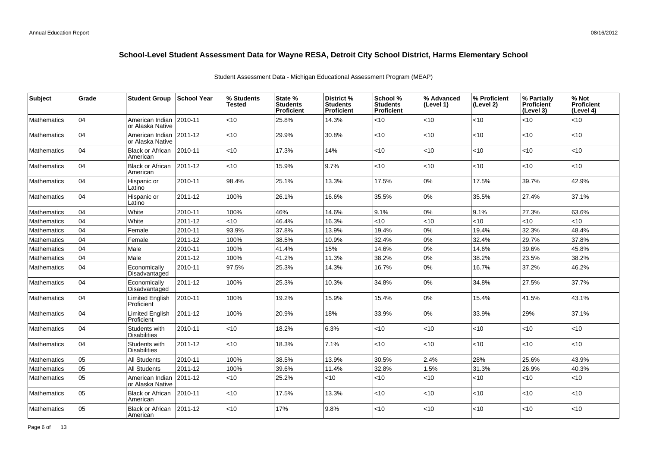| Subject            | Grade | <b>Student Group</b>                 | ∣School Year | % Students<br><b>Tested</b> | State %<br><b>Students</b><br>Proficient | District %<br><b>Students</b><br><b>Proficient</b> | School %<br><b>Students</b><br><b>Proficient</b> | % Advanced<br>(Level 1) | % Proficient<br>(Level 2) | % Partially<br><b>Proficient</b><br>(Level 3) | % Not<br>Proficient<br>(Level 4) |
|--------------------|-------|--------------------------------------|--------------|-----------------------------|------------------------------------------|----------------------------------------------------|--------------------------------------------------|-------------------------|---------------------------|-----------------------------------------------|----------------------------------|
| <b>Mathematics</b> | 04    | American Indian<br>or Alaska Native  | 2010-11      | <10                         | 25.8%                                    | 14.3%                                              | < 10                                             | <10                     | $<$ 10                    | <10                                           | < 10                             |
| <b>Mathematics</b> | 04    | American Indian<br>or Alaska Native  | 2011-12      | $<$ 10                      | 29.9%                                    | 30.8%                                              | <10                                              | <10                     | <10                       | < 10                                          | <10                              |
| <b>Mathematics</b> | 104   | <b>Black or African</b><br>American  | 2010-11      | $<$ 10                      | 17.3%                                    | 14%                                                | < 10                                             | <10                     | < 10                      | < 10                                          | < 10                             |
| <b>Mathematics</b> | 104   | <b>Black or African</b><br>American  | 2011-12      | <10                         | 15.9%                                    | 9.7%                                               | < 10                                             | <10                     | <10                       | <10                                           | $<10$                            |
| <b>Mathematics</b> | 04    | Hispanic or<br>Latino                | 2010-11      | 98.4%                       | 25.1%                                    | 13.3%                                              | 17.5%                                            | 0%                      | 17.5%                     | 39.7%                                         | 42.9%                            |
| <b>Mathematics</b> | 104   | Hispanic or<br>Latino                | 2011-12      | 100%                        | 26.1%                                    | 16.6%                                              | 35.5%                                            | 0%                      | 35.5%                     | 27.4%                                         | 37.1%                            |
| Mathematics        | 04    | White                                | 2010-11      | 100%                        | 46%                                      | 14.6%                                              | 9.1%                                             | $0\%$                   | 9.1%                      | 27.3%                                         | 63.6%                            |
| <b>Mathematics</b> | 04    | White                                | 2011-12      | $<$ 10                      | 46.4%                                    | 16.3%                                              | < 10                                             | < 10                    | < 10                      | <10                                           | <10                              |
| <b>Mathematics</b> | 04    | Female                               | 2010-11      | 93.9%                       | 37.8%                                    | 13.9%                                              | 19.4%                                            | 0%                      | 19.4%                     | 32.3%                                         | 48.4%                            |
| <b>Mathematics</b> | 04    | Female                               | 2011-12      | 100%                        | 38.5%                                    | 10.9%                                              | 32.4%                                            | $0\%$                   | 32.4%                     | 29.7%                                         | 37.8%                            |
| <b>Mathematics</b> | 04    | Male                                 | 2010-11      | 100%                        | 41.4%                                    | 15%                                                | 14.6%                                            | $0\%$                   | 14.6%                     | 39.6%                                         | 45.8%                            |
| <b>Mathematics</b> | 04    | Male                                 | 2011-12      | 100%                        | 41.2%                                    | 11.3%                                              | 38.2%                                            | $0\%$                   | 38.2%                     | 23.5%                                         | 38.2%                            |
| <b>Mathematics</b> | 04    | Economically<br>Disadvantaged        | 2010-11      | 97.5%                       | 25.3%                                    | 14.3%                                              | 16.7%                                            | 0%                      | 16.7%                     | 37.2%                                         | 46.2%                            |
| <b>Mathematics</b> | 04    | Economically<br>Disadvantaged        | 2011-12      | 100%                        | 25.3%                                    | 10.3%                                              | 34.8%                                            | 0%                      | 34.8%                     | 27.5%                                         | 37.7%                            |
| <b>Mathematics</b> | 104   | <b>Limited English</b><br>Proficient | 2010-11      | 100%                        | 19.2%                                    | 15.9%                                              | 15.4%                                            | 0%                      | 15.4%                     | 41.5%                                         | 43.1%                            |
| <b>Mathematics</b> | 104   | <b>Limited English</b><br>Proficient | 2011-12      | 100%                        | 20.9%                                    | 18%                                                | 33.9%                                            | 0%                      | 33.9%                     | 29%                                           | 37.1%                            |
| <b>Mathematics</b> | 104   | Students with<br><b>Disabilities</b> | 2010-11      | $<$ 10                      | 18.2%                                    | 6.3%                                               | < 10                                             | <10                     | < 10                      | <10                                           | < 10                             |
| <b>Mathematics</b> | 04    | Students with<br><b>Disabilities</b> | 2011-12      | $<$ 10                      | 18.3%                                    | 7.1%                                               | < 10                                             | < 10                    | < 10                      | <10                                           | <10                              |
| <b>Mathematics</b> | 05    | <b>All Students</b>                  | 2010-11      | 100%                        | 38.5%                                    | 13.9%                                              | 30.5%                                            | 2.4%                    | 28%                       | 25.6%                                         | 43.9%                            |
| <b>Mathematics</b> | 05    | <b>All Students</b>                  | 2011-12      | 100%                        | 39.6%                                    | 11.4%                                              | 32.8%                                            | 1.5%                    | 31.3%                     | 26.9%                                         | 40.3%                            |
| <b>Mathematics</b> | 05    | American Indian<br>or Alaska Native  | 2011-12      | <10                         | 25.2%                                    | <10                                                | <10                                              | $<$ 10                  | < 10                      | < 10                                          | $<$ 10                           |
| <b>Mathematics</b> | 05    | <b>Black or African</b><br>American  | 2010-11      | $<$ 10                      | 17.5%                                    | 13.3%                                              | < 10                                             | <10                     | <10                       | < 10                                          | < 10                             |
| Mathematics        | 05    | <b>Black or African</b><br>American  | 2011-12      | <10                         | 17%                                      | 9.8%                                               | <10                                              | <10                     | < 10                      | < 10                                          | < 10                             |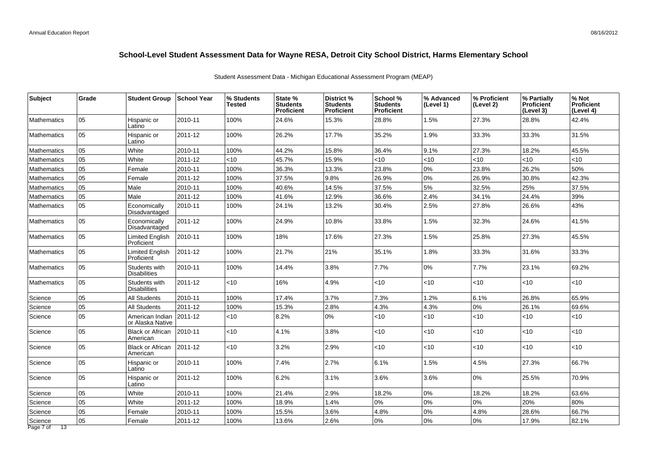| 05<br>15.3%<br>28.8%<br>1.5%<br>28.8%<br>42.4%<br>Hispanic or<br>2010-11<br>100%<br>24.6%<br>27.3%<br>Mathematics<br>Latino<br>05<br>26.2%<br>17.7%<br>35.2%<br>1.9%<br>33.3%<br>31.5%<br>2011-12<br>100%<br>33.3%<br>Hispanic or<br><b>Mathematics</b><br>Latino<br>45.5%<br>15.8%<br>36.4%<br>9.1%<br>05<br>White<br>2010-11<br>100%<br>44.2%<br>27.3%<br>18.2%<br>Mathematics<br>05<br>White<br>2011-12<br>45.7%<br>15.9%<br><10<br><10<br><10<br><10<br><10<br><10<br>Mathematics<br>50%<br>05<br>100%<br>36.3%<br>13.3%<br>23.8%<br>0%<br>23.8%<br>26.2%<br>2010-11<br>Female<br><b>Mathematics</b><br>05<br>0%<br>42.3%<br>2011-12<br>100%<br>37.5%<br>9.8%<br>26.9%<br>26.9%<br>30.8%<br><b>Mathematics</b><br>Female<br>05<br>5%<br>40.6%<br>14.5%<br>37.5%<br>32.5%<br>25%<br>37.5%<br>Male<br>2010-11<br>100%<br><b>Mathematics</b><br>05<br>39%<br>41.6%<br>2.4%<br>24.4%<br>Male<br>2011-12<br>100%<br>12.9%<br>36.6%<br>34.1%<br><b>Mathematics</b><br>05<br>43%<br>Economically<br>24.1%<br>2.5%<br>27.8%<br>26.6%<br><b>Mathematics</b><br>2010-11<br>100%<br>13.2%<br>30.4%<br>Disadvantaged<br>05<br>24.9%<br>32.3%<br>24.6%<br>41.5%<br>Economically<br>2011-12<br>100%<br>10.8%<br>33.8%<br>1.5%<br><b>Mathematics</b><br>Disadvantaged<br>45.5%<br>05<br>2010-11<br>100%<br>18%<br>17.6%<br>27.3%<br>1.5%<br>25.8%<br>27.3%<br>Limited English<br><b>Mathematics</b><br>Proficient<br>05<br><b>Limited English</b><br>2011-12<br>100%<br>21.7%<br>35.1%<br>1.8%<br>33.3%<br>31.6%<br>33.3%<br>21%<br>Mathematics<br>Proficient<br>l 05<br>2010-11<br>100%<br>3.8%<br>7.7%<br>0%<br>7.7%<br>23.1%<br>69.2%<br>Students with<br>14.4%<br>Mathematics<br><b>Disabilities</b><br>05<br>16%<br>4.9%<br><10<br>$<$ 10<br>Students with<br>2011-12<br><10<br>$<$ 10<br>$<$ 10<br><10<br><b>Mathematics</b><br><b>Disabilities</b><br>05<br>100%<br>17.4%<br>3.7%<br>7.3%<br>1.2%<br>6.1%<br>26.8%<br>65.9%<br><b>All Students</b><br>2010-11<br>Science<br>0%<br>05<br>4.3%<br>4.3%<br>26.1%<br>69.6%<br>2011-12<br>100%<br>15.3%<br>2.8%<br>Science<br><b>All Students</b><br>lo5<br>0%<br>2011-12<br>$<$ 10<br>8.2%<br>$<$ 10<br><10<br>< 10<br><10<br><10<br>Science<br>American Indian<br>or Alaska Native<br>05<br>2010-11<br><10<br>4.1%<br>3.8%<br><10<br>10<br><10<br>Science<br><b>Black or African</b><br>$<$ 10<br>$<$ 10<br>American<br>05<br>2011-12<br><10<br><10<br><b>Black or African</b><br><10<br>3.2%<br>2.9%<br>< 10<br>< 10<br><10<br>Science<br>American<br>05<br>2010-11<br>100%<br>7.4%<br>2.7%<br>6.1%<br>1.5%<br>4.5%<br>27.3%<br>66.7%<br>Science<br>Hispanic or<br>Latino<br>05<br>6.2%<br>3.1%<br>3.6%<br>0%<br>25.5%<br>70.9%<br>Science<br>Hispanic or<br>2011-12<br>100%<br>3.6%<br>Latino<br>05<br>0%<br>White<br>100%<br>21.4%<br>2.9%<br>18.2%<br>18.2%<br>18.2%<br>63.6%<br>2010-11<br>Science<br>0%<br>05<br>0%<br>0%<br>20%<br>80%<br>White<br>100%<br>18.9%<br>1.4%<br>2011-12<br>Science<br>05<br>0%<br>66.7%<br>28.6%<br>100%<br>15.5%<br>3.6%<br>4.8%<br>4.8%<br>Science<br>Female<br>2010-11<br>Science<br>2011-12<br>100%<br>13.6% | Subject | Grade | <b>Student Group</b> | ∣School Year | % Students<br><b>Tested</b> | State %<br><b>Students</b><br><b>Proficient</b> | District %<br><b>Students</b><br><b>Proficient</b> | School %<br><b>Students</b><br><b>Proficient</b> | % Advanced<br>(Level 1) | % Proficient<br>(Level 2) | % Partially<br>Proficient<br>(Level 3) | % Not<br><b>Proficient</b><br>(Level 4) |
|----------------------------------------------------------------------------------------------------------------------------------------------------------------------------------------------------------------------------------------------------------------------------------------------------------------------------------------------------------------------------------------------------------------------------------------------------------------------------------------------------------------------------------------------------------------------------------------------------------------------------------------------------------------------------------------------------------------------------------------------------------------------------------------------------------------------------------------------------------------------------------------------------------------------------------------------------------------------------------------------------------------------------------------------------------------------------------------------------------------------------------------------------------------------------------------------------------------------------------------------------------------------------------------------------------------------------------------------------------------------------------------------------------------------------------------------------------------------------------------------------------------------------------------------------------------------------------------------------------------------------------------------------------------------------------------------------------------------------------------------------------------------------------------------------------------------------------------------------------------------------------------------------------------------------------------------------------------------------------------------------------------------------------------------------------------------------------------------------------------------------------------------------------------------------------------------------------------------------------------------------------------------------------------------------------------------------------------------------------------------------------------------------------------------------------------------------------------------------------------------------------------------------------------------------------------------------------------------------------------------------------------------------------------------------------------------------------------------------------------------------------------------------------------------------------------------------------------------------------------------------------------------------------------------------------------------------------------------------------------------------------------------------------------------------------------------------------------------|---------|-------|----------------------|--------------|-----------------------------|-------------------------------------------------|----------------------------------------------------|--------------------------------------------------|-------------------------|---------------------------|----------------------------------------|-----------------------------------------|
|                                                                                                                                                                                                                                                                                                                                                                                                                                                                                                                                                                                                                                                                                                                                                                                                                                                                                                                                                                                                                                                                                                                                                                                                                                                                                                                                                                                                                                                                                                                                                                                                                                                                                                                                                                                                                                                                                                                                                                                                                                                                                                                                                                                                                                                                                                                                                                                                                                                                                                                                                                                                                                                                                                                                                                                                                                                                                                                                                                                                                                                                                              |         |       |                      |              |                             |                                                 |                                                    |                                                  |                         |                           |                                        |                                         |
|                                                                                                                                                                                                                                                                                                                                                                                                                                                                                                                                                                                                                                                                                                                                                                                                                                                                                                                                                                                                                                                                                                                                                                                                                                                                                                                                                                                                                                                                                                                                                                                                                                                                                                                                                                                                                                                                                                                                                                                                                                                                                                                                                                                                                                                                                                                                                                                                                                                                                                                                                                                                                                                                                                                                                                                                                                                                                                                                                                                                                                                                                              |         |       |                      |              |                             |                                                 |                                                    |                                                  |                         |                           |                                        |                                         |
|                                                                                                                                                                                                                                                                                                                                                                                                                                                                                                                                                                                                                                                                                                                                                                                                                                                                                                                                                                                                                                                                                                                                                                                                                                                                                                                                                                                                                                                                                                                                                                                                                                                                                                                                                                                                                                                                                                                                                                                                                                                                                                                                                                                                                                                                                                                                                                                                                                                                                                                                                                                                                                                                                                                                                                                                                                                                                                                                                                                                                                                                                              |         |       |                      |              |                             |                                                 |                                                    |                                                  |                         |                           |                                        |                                         |
|                                                                                                                                                                                                                                                                                                                                                                                                                                                                                                                                                                                                                                                                                                                                                                                                                                                                                                                                                                                                                                                                                                                                                                                                                                                                                                                                                                                                                                                                                                                                                                                                                                                                                                                                                                                                                                                                                                                                                                                                                                                                                                                                                                                                                                                                                                                                                                                                                                                                                                                                                                                                                                                                                                                                                                                                                                                                                                                                                                                                                                                                                              |         |       |                      |              |                             |                                                 |                                                    |                                                  |                         |                           |                                        |                                         |
|                                                                                                                                                                                                                                                                                                                                                                                                                                                                                                                                                                                                                                                                                                                                                                                                                                                                                                                                                                                                                                                                                                                                                                                                                                                                                                                                                                                                                                                                                                                                                                                                                                                                                                                                                                                                                                                                                                                                                                                                                                                                                                                                                                                                                                                                                                                                                                                                                                                                                                                                                                                                                                                                                                                                                                                                                                                                                                                                                                                                                                                                                              |         |       |                      |              |                             |                                                 |                                                    |                                                  |                         |                           |                                        |                                         |
|                                                                                                                                                                                                                                                                                                                                                                                                                                                                                                                                                                                                                                                                                                                                                                                                                                                                                                                                                                                                                                                                                                                                                                                                                                                                                                                                                                                                                                                                                                                                                                                                                                                                                                                                                                                                                                                                                                                                                                                                                                                                                                                                                                                                                                                                                                                                                                                                                                                                                                                                                                                                                                                                                                                                                                                                                                                                                                                                                                                                                                                                                              |         |       |                      |              |                             |                                                 |                                                    |                                                  |                         |                           |                                        |                                         |
|                                                                                                                                                                                                                                                                                                                                                                                                                                                                                                                                                                                                                                                                                                                                                                                                                                                                                                                                                                                                                                                                                                                                                                                                                                                                                                                                                                                                                                                                                                                                                                                                                                                                                                                                                                                                                                                                                                                                                                                                                                                                                                                                                                                                                                                                                                                                                                                                                                                                                                                                                                                                                                                                                                                                                                                                                                                                                                                                                                                                                                                                                              |         |       |                      |              |                             |                                                 |                                                    |                                                  |                         |                           |                                        |                                         |
|                                                                                                                                                                                                                                                                                                                                                                                                                                                                                                                                                                                                                                                                                                                                                                                                                                                                                                                                                                                                                                                                                                                                                                                                                                                                                                                                                                                                                                                                                                                                                                                                                                                                                                                                                                                                                                                                                                                                                                                                                                                                                                                                                                                                                                                                                                                                                                                                                                                                                                                                                                                                                                                                                                                                                                                                                                                                                                                                                                                                                                                                                              |         |       |                      |              |                             |                                                 |                                                    |                                                  |                         |                           |                                        |                                         |
|                                                                                                                                                                                                                                                                                                                                                                                                                                                                                                                                                                                                                                                                                                                                                                                                                                                                                                                                                                                                                                                                                                                                                                                                                                                                                                                                                                                                                                                                                                                                                                                                                                                                                                                                                                                                                                                                                                                                                                                                                                                                                                                                                                                                                                                                                                                                                                                                                                                                                                                                                                                                                                                                                                                                                                                                                                                                                                                                                                                                                                                                                              |         |       |                      |              |                             |                                                 |                                                    |                                                  |                         |                           |                                        |                                         |
|                                                                                                                                                                                                                                                                                                                                                                                                                                                                                                                                                                                                                                                                                                                                                                                                                                                                                                                                                                                                                                                                                                                                                                                                                                                                                                                                                                                                                                                                                                                                                                                                                                                                                                                                                                                                                                                                                                                                                                                                                                                                                                                                                                                                                                                                                                                                                                                                                                                                                                                                                                                                                                                                                                                                                                                                                                                                                                                                                                                                                                                                                              |         |       |                      |              |                             |                                                 |                                                    |                                                  |                         |                           |                                        |                                         |
|                                                                                                                                                                                                                                                                                                                                                                                                                                                                                                                                                                                                                                                                                                                                                                                                                                                                                                                                                                                                                                                                                                                                                                                                                                                                                                                                                                                                                                                                                                                                                                                                                                                                                                                                                                                                                                                                                                                                                                                                                                                                                                                                                                                                                                                                                                                                                                                                                                                                                                                                                                                                                                                                                                                                                                                                                                                                                                                                                                                                                                                                                              |         |       |                      |              |                             |                                                 |                                                    |                                                  |                         |                           |                                        |                                         |
|                                                                                                                                                                                                                                                                                                                                                                                                                                                                                                                                                                                                                                                                                                                                                                                                                                                                                                                                                                                                                                                                                                                                                                                                                                                                                                                                                                                                                                                                                                                                                                                                                                                                                                                                                                                                                                                                                                                                                                                                                                                                                                                                                                                                                                                                                                                                                                                                                                                                                                                                                                                                                                                                                                                                                                                                                                                                                                                                                                                                                                                                                              |         |       |                      |              |                             |                                                 |                                                    |                                                  |                         |                           |                                        |                                         |
|                                                                                                                                                                                                                                                                                                                                                                                                                                                                                                                                                                                                                                                                                                                                                                                                                                                                                                                                                                                                                                                                                                                                                                                                                                                                                                                                                                                                                                                                                                                                                                                                                                                                                                                                                                                                                                                                                                                                                                                                                                                                                                                                                                                                                                                                                                                                                                                                                                                                                                                                                                                                                                                                                                                                                                                                                                                                                                                                                                                                                                                                                              |         |       |                      |              |                             |                                                 |                                                    |                                                  |                         |                           |                                        |                                         |
|                                                                                                                                                                                                                                                                                                                                                                                                                                                                                                                                                                                                                                                                                                                                                                                                                                                                                                                                                                                                                                                                                                                                                                                                                                                                                                                                                                                                                                                                                                                                                                                                                                                                                                                                                                                                                                                                                                                                                                                                                                                                                                                                                                                                                                                                                                                                                                                                                                                                                                                                                                                                                                                                                                                                                                                                                                                                                                                                                                                                                                                                                              |         |       |                      |              |                             |                                                 |                                                    |                                                  |                         |                           |                                        |                                         |
|                                                                                                                                                                                                                                                                                                                                                                                                                                                                                                                                                                                                                                                                                                                                                                                                                                                                                                                                                                                                                                                                                                                                                                                                                                                                                                                                                                                                                                                                                                                                                                                                                                                                                                                                                                                                                                                                                                                                                                                                                                                                                                                                                                                                                                                                                                                                                                                                                                                                                                                                                                                                                                                                                                                                                                                                                                                                                                                                                                                                                                                                                              |         |       |                      |              |                             |                                                 |                                                    |                                                  |                         |                           |                                        |                                         |
|                                                                                                                                                                                                                                                                                                                                                                                                                                                                                                                                                                                                                                                                                                                                                                                                                                                                                                                                                                                                                                                                                                                                                                                                                                                                                                                                                                                                                                                                                                                                                                                                                                                                                                                                                                                                                                                                                                                                                                                                                                                                                                                                                                                                                                                                                                                                                                                                                                                                                                                                                                                                                                                                                                                                                                                                                                                                                                                                                                                                                                                                                              |         |       |                      |              |                             |                                                 |                                                    |                                                  |                         |                           |                                        |                                         |
|                                                                                                                                                                                                                                                                                                                                                                                                                                                                                                                                                                                                                                                                                                                                                                                                                                                                                                                                                                                                                                                                                                                                                                                                                                                                                                                                                                                                                                                                                                                                                                                                                                                                                                                                                                                                                                                                                                                                                                                                                                                                                                                                                                                                                                                                                                                                                                                                                                                                                                                                                                                                                                                                                                                                                                                                                                                                                                                                                                                                                                                                                              |         |       |                      |              |                             |                                                 |                                                    |                                                  |                         |                           |                                        |                                         |
|                                                                                                                                                                                                                                                                                                                                                                                                                                                                                                                                                                                                                                                                                                                                                                                                                                                                                                                                                                                                                                                                                                                                                                                                                                                                                                                                                                                                                                                                                                                                                                                                                                                                                                                                                                                                                                                                                                                                                                                                                                                                                                                                                                                                                                                                                                                                                                                                                                                                                                                                                                                                                                                                                                                                                                                                                                                                                                                                                                                                                                                                                              |         |       |                      |              |                             |                                                 |                                                    |                                                  |                         |                           |                                        |                                         |
|                                                                                                                                                                                                                                                                                                                                                                                                                                                                                                                                                                                                                                                                                                                                                                                                                                                                                                                                                                                                                                                                                                                                                                                                                                                                                                                                                                                                                                                                                                                                                                                                                                                                                                                                                                                                                                                                                                                                                                                                                                                                                                                                                                                                                                                                                                                                                                                                                                                                                                                                                                                                                                                                                                                                                                                                                                                                                                                                                                                                                                                                                              |         |       |                      |              |                             |                                                 |                                                    |                                                  |                         |                           |                                        |                                         |
|                                                                                                                                                                                                                                                                                                                                                                                                                                                                                                                                                                                                                                                                                                                                                                                                                                                                                                                                                                                                                                                                                                                                                                                                                                                                                                                                                                                                                                                                                                                                                                                                                                                                                                                                                                                                                                                                                                                                                                                                                                                                                                                                                                                                                                                                                                                                                                                                                                                                                                                                                                                                                                                                                                                                                                                                                                                                                                                                                                                                                                                                                              |         |       |                      |              |                             |                                                 |                                                    |                                                  |                         |                           |                                        |                                         |
|                                                                                                                                                                                                                                                                                                                                                                                                                                                                                                                                                                                                                                                                                                                                                                                                                                                                                                                                                                                                                                                                                                                                                                                                                                                                                                                                                                                                                                                                                                                                                                                                                                                                                                                                                                                                                                                                                                                                                                                                                                                                                                                                                                                                                                                                                                                                                                                                                                                                                                                                                                                                                                                                                                                                                                                                                                                                                                                                                                                                                                                                                              |         |       |                      |              |                             |                                                 |                                                    |                                                  |                         |                           |                                        |                                         |
|                                                                                                                                                                                                                                                                                                                                                                                                                                                                                                                                                                                                                                                                                                                                                                                                                                                                                                                                                                                                                                                                                                                                                                                                                                                                                                                                                                                                                                                                                                                                                                                                                                                                                                                                                                                                                                                                                                                                                                                                                                                                                                                                                                                                                                                                                                                                                                                                                                                                                                                                                                                                                                                                                                                                                                                                                                                                                                                                                                                                                                                                                              |         |       |                      |              |                             |                                                 |                                                    |                                                  |                         |                           |                                        |                                         |
|                                                                                                                                                                                                                                                                                                                                                                                                                                                                                                                                                                                                                                                                                                                                                                                                                                                                                                                                                                                                                                                                                                                                                                                                                                                                                                                                                                                                                                                                                                                                                                                                                                                                                                                                                                                                                                                                                                                                                                                                                                                                                                                                                                                                                                                                                                                                                                                                                                                                                                                                                                                                                                                                                                                                                                                                                                                                                                                                                                                                                                                                                              |         |       |                      |              |                             |                                                 |                                                    |                                                  |                         |                           |                                        |                                         |
|                                                                                                                                                                                                                                                                                                                                                                                                                                                                                                                                                                                                                                                                                                                                                                                                                                                                                                                                                                                                                                                                                                                                                                                                                                                                                                                                                                                                                                                                                                                                                                                                                                                                                                                                                                                                                                                                                                                                                                                                                                                                                                                                                                                                                                                                                                                                                                                                                                                                                                                                                                                                                                                                                                                                                                                                                                                                                                                                                                                                                                                                                              |         |       |                      |              |                             |                                                 |                                                    |                                                  |                         |                           |                                        |                                         |
|                                                                                                                                                                                                                                                                                                                                                                                                                                                                                                                                                                                                                                                                                                                                                                                                                                                                                                                                                                                                                                                                                                                                                                                                                                                                                                                                                                                                                                                                                                                                                                                                                                                                                                                                                                                                                                                                                                                                                                                                                                                                                                                                                                                                                                                                                                                                                                                                                                                                                                                                                                                                                                                                                                                                                                                                                                                                                                                                                                                                                                                                                              |         | 05    | Female               |              |                             |                                                 | 2.6%                                               | 0%                                               | 0%                      | 0%                        | 17.9%                                  | 82.1%                                   |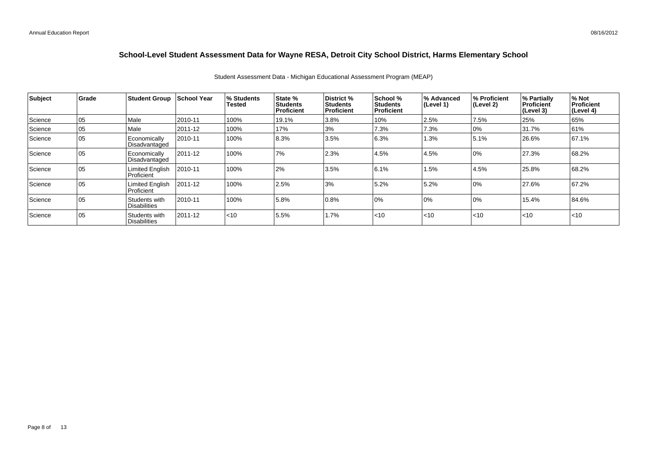| Subject | <b>Grade</b> | <b>Student Group</b>                 | School Year | % Students<br>Tested | State %<br><b>Students</b><br><b>Proficient</b> | <b>District</b> %<br>Students<br>Proficient | School %<br><b>Students</b><br>Proficient | % Advanced<br>$ $ (Level 1) | % Proficient<br>(Level 2) | % Partially<br><b>Proficient</b><br> (Level 3) | % Not<br>Proficient<br>(Level 4) |
|---------|--------------|--------------------------------------|-------------|----------------------|-------------------------------------------------|---------------------------------------------|-------------------------------------------|-----------------------------|---------------------------|------------------------------------------------|----------------------------------|
| Science | 05           | Male                                 | 2010-11     | 100%                 | 19.1%                                           | 3.8%                                        | 10%                                       | 2.5%                        | 7.5%                      | 25%                                            | 65%                              |
| Science | 05           | Male                                 | 2011-12     | 100%                 | 17%                                             | 3%                                          | 7.3%                                      | 7.3%                        | 10%                       | 31.7%                                          | 61%                              |
| Science | 05           | Economically<br>Disadvantaged        | 2010-11     | 100%                 | 8.3%                                            | 3.5%                                        | 6.3%                                      | 1.3%                        | 5.1%                      | 26.6%                                          | 67.1%                            |
| Science | 05           | Economically<br>Disadvantaged        | 2011-12     | 100%                 | 7%                                              | 2.3%                                        | 4.5%                                      | 4.5%                        | 10%                       | 27.3%                                          | 68.2%                            |
| Science | 05           | <b>Limited English</b><br>Proficient | 2010-11     | 100%                 | 2%                                              | 3.5%                                        | 6.1%                                      | 1.5%                        | 4.5%                      | 25.8%                                          | 68.2%                            |
| Science | 05           | <b>Limited English</b><br>Proficient | 2011-12     | 100%                 | 2.5%                                            | 3%                                          | 5.2%                                      | 5.2%                        | 10%                       | 27.6%                                          | 67.2%                            |
| Science | 05           | Students with<br><b>Disabilities</b> | 2010-11     | 100%                 | 5.8%                                            | 0.8%                                        | 10%                                       | 0%                          | 10%                       | 15.4%                                          | 84.6%                            |
| Science | 05           | Students with<br>l Disabilities      | 2011-12     | $ $ < 10             | 5.5%                                            | 1.7%                                        | < 10                                      | $ $ < 10                    | < 10                      | $ $ < 10                                       | $ $ < 10                         |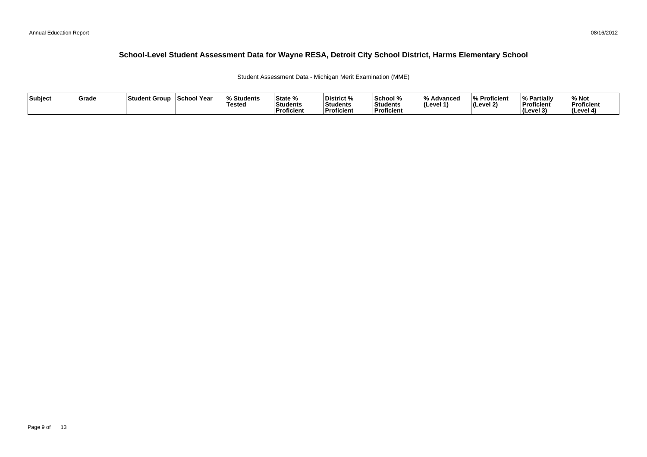Student Assessment Data - Michigan Merit Examination (MME)

| Subject | <b>Grade</b> | ⊺Student Group | School Year | <b>Students</b> l%<br>'Testeo | <b>State %</b><br>Students<br>Proficient | District %<br>Students<br><b>Proficient</b> | School %<br>Students<br>' Proficien. | /۱۵<br>Advanced<br>ILevel 1 | % Proficient<br>(Level 2) | <b>My Partially</b><br>Proficient<br>(Level 3) | % Not<br>Proficient<br>l (Level 4 |
|---------|--------------|----------------|-------------|-------------------------------|------------------------------------------|---------------------------------------------|--------------------------------------|-----------------------------|---------------------------|------------------------------------------------|-----------------------------------|
|---------|--------------|----------------|-------------|-------------------------------|------------------------------------------|---------------------------------------------|--------------------------------------|-----------------------------|---------------------------|------------------------------------------------|-----------------------------------|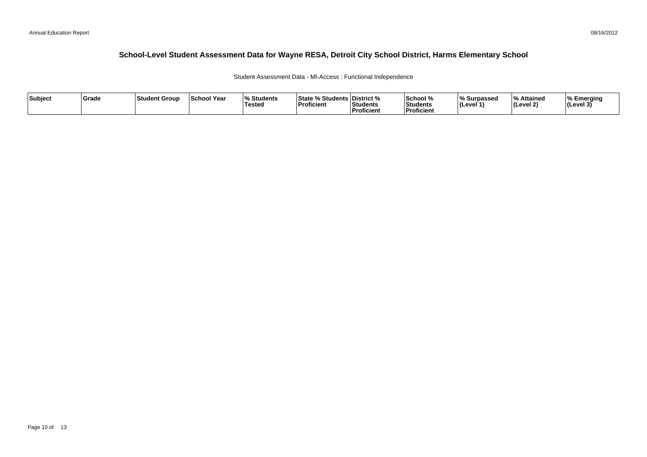Student Assessment Data - MI-Access : Functional Independence

| Subject | Grade | Student Group | <b>School Year</b> | $\Omega$<br>Students<br><b>Tested</b> | <b>State % Students District %</b><br>'Proficient | Students<br>Proficient | School %<br>Students<br><b>Proficient</b> | % Surpassed<br>(Level 1 | % Attained<br>l (Level 2) | ∣% Emeraina<br>$ $ (Level 3) |
|---------|-------|---------------|--------------------|---------------------------------------|---------------------------------------------------|------------------------|-------------------------------------------|-------------------------|---------------------------|------------------------------|
|---------|-------|---------------|--------------------|---------------------------------------|---------------------------------------------------|------------------------|-------------------------------------------|-------------------------|---------------------------|------------------------------|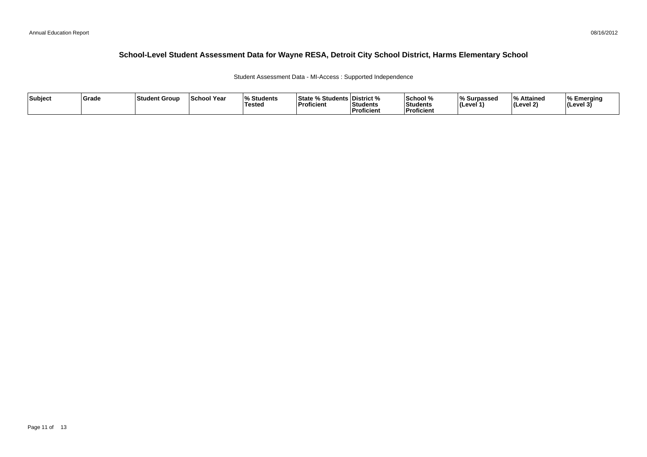Student Assessment Data - MI-Access : Supported Independence

| Subject | Grade | Student Group | <b>School Year</b> | $\Omega$<br>Students<br><b>Tested</b> | <b>State % Students District %</b><br>'Proficient | Students<br>Proficient | School %<br>Students<br><b>Proficient</b> | % Surpassed<br>(Level 1 | % Attained<br>l (Level 2) | ∣% Emeraina<br>$ $ (Level 3) |
|---------|-------|---------------|--------------------|---------------------------------------|---------------------------------------------------|------------------------|-------------------------------------------|-------------------------|---------------------------|------------------------------|
|---------|-------|---------------|--------------------|---------------------------------------|---------------------------------------------------|------------------------|-------------------------------------------|-------------------------|---------------------------|------------------------------|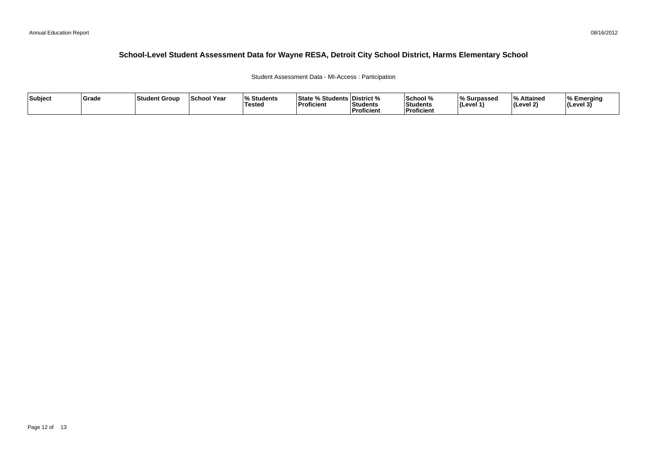#### Student Assessment Data - MI-Access : Participation

| Subject | ∣Grade | <b>Student Group</b> | <b>School Year</b> | Students<br><b>Tested</b> | <b>State % Students District %</b><br>$\mathbf{r}$<br>Proficient | Students<br>Proficient | School %<br>Students<br><b>Proficient</b> | % Surpassed<br>(Level | % Attained<br>$ $ (Level 2) | ⊺% Emerging<br> (Level 3) |
|---------|--------|----------------------|--------------------|---------------------------|------------------------------------------------------------------|------------------------|-------------------------------------------|-----------------------|-----------------------------|---------------------------|
|---------|--------|----------------------|--------------------|---------------------------|------------------------------------------------------------------|------------------------|-------------------------------------------|-----------------------|-----------------------------|---------------------------|